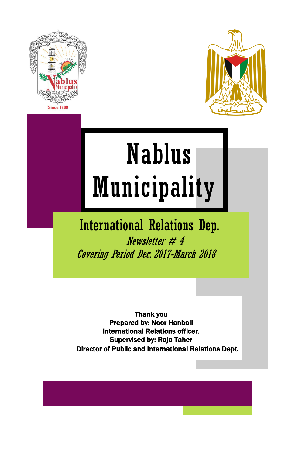



# Nablus Municipality

# International Relations Dep. Newsletter  $# 4$ Covering Period Dec. 2017-March 2018

Thank you Prepared by: Noor Hanbali International Relations officer. Supervised by: Raja Taher Director of Public and International Relations Dept.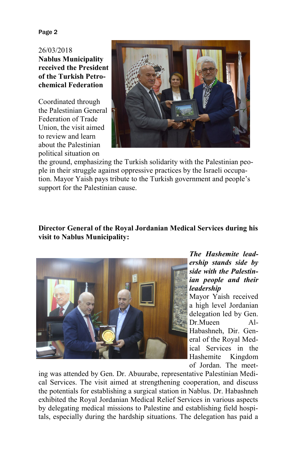Page 2

26/03/2018 **Nablus Municipality received the President of the Turkish Petrochemical Federation**

Coordinated through the Palestinian General Federation of Trade Union, the visit aimed to review and learn about the Palestinian political situation on



the ground, emphasizing the Turkish solidarity with the Palestinian people in their struggle against oppressive practices by the Israeli occupation. Mayor Yaish pays tribute to the Turkish government and people's support for the Palestinian cause.

# **Director General of the Royal Jordanian Medical Services during his visit to Nablus Municipality:**



*The Hashemite leadership stands side by side with the Palestinian people and their leadership*

Mayor Yaish received a high level Jordanian delegation led by Gen. Dr. Mueen Al-Habashneh, Dir. General of the Royal Medical Services in the Hashemite Kingdom of Jordan. The meet-

ing was attended by Gen. Dr. Abuurabe, representative Palestinian Medical Services. The visit aimed at strengthening cooperation, and discuss the potentials for establishing a surgical station in Nablus. Dr. Habashneh exhibited the Royal Jordanian Medical Relief Services in various aspects by delegating medical missions to Palestine and establishing field hospitals, especially during the hardship situations. The delegation has paid a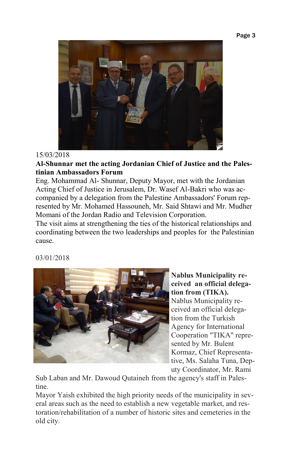#### Page 3



# 15/03/2018

**Al-Shunnar met the acting Jordanian Chief of Justice and the Palestinian Ambassadors Forum**

Eng. Mohammad Al- Shunnar, Deputy Mayor, met with the Jordanian Acting Chief of Justice in Jerusalem, Dr. Wasef Al-Bakri who was accompanied by a delegation from the Palestine Ambassadors' Forum represented by Mr. Mohamed Hassouneh, Mr. Said Shtawi and Mr. Mudher Momani of the Jordan Radio and Television Corporation.

The visit aims at strengthening the ties of the historical relationships and coordinating between the two leaderships and peoples for the Palestinian cause.

03/01/2018



**Nablus Municipality received an official delegation from (TIKA).**  Nablus Municipality received an official delegation from the Turkish Agency for International Cooperation "TIKA" represented by Mr. Bulent Kormaz, Chief Representative, Ms. Salaha Tuna, Deputy Coordinator, Mr. Rami

Sub Laban and Mr. Dawoud Qutaineh from the agency's staff in Palestine.

Mayor Yaish exhibited the high priority needs of the municipality in several areas such as the need to establish a new vegetable market, and restoration/rehabilitation of a number of historic sites and cemeteries in the old city.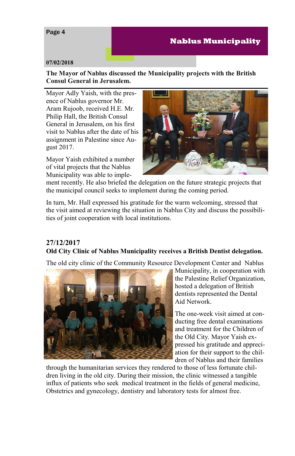# Page 4

# **Nablus Municipality**

#### **07/02/2018**

**The Mayor of Nablus discussed the Municipality projects with the British Consul General in Jerusalem.**

Mayor Adly Yaish, with the presence of Nablus governor Mr. Aram Rujoob, received H.E. Mr. Philip Hall, the British Consul General in Jerusalem, on his first visit to Nablus after the date of his assignment in Palestine since August 2017.

Mayor Yaish exhibited a number of vital projects that the Nablus Municipality was able to imple-



ment recently. He also briefed the delegation on the future strategic projects that the municipal council seeks to implement during the coming period.

In turn, Mr. Hall expressed his gratitude for the warm welcoming, stressed that the visit aimed at reviewing the situation in Nablus City and discuss the possibilities of joint cooperation with local institutions.

# **27/12/2017 Old City Clinic of Nablus Municipality receives a British Dentist delegation.**

The old city clinic of the Community Resource Development Center and Nablus



Municipality, in cooperation with the Palestine Relief Organization, hosted a delegation of British dentists represented the Dental Aid Network.

The one-week visit aimed at conducting free dental examinations and treatment for the Children of the Old City. Mayor Yaish expressed his gratitude and appreciation for their support to the children of Nablus and their families

through the humanitarian services they rendered to those of less fortunate children living in the old city. During their mission, the clinic witnessed a tangible influx of patients who seek medical treatment in the fields of general medicine, Obstetrics and gynecology, dentistry and laboratory tests for almost free.